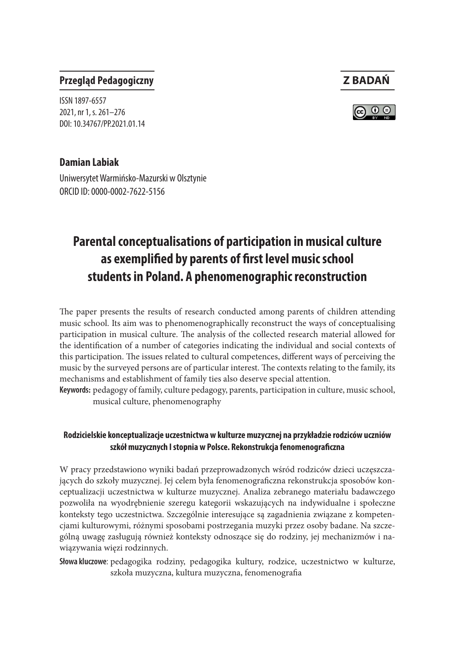### **Przegląd Pedagogiczny Z BADAŃ**

ISSN 1897-6557 2021, nr 1, s. 261–276 DOI: 10.34767/PP.2021.01.14

# ര ⊙ ⊜

#### **Damian Labiak**

Uniwersytet Warmińsko-Mazurski w Olsztynie ORCID ID: 0000-0002-7622-5156

## **Parental conceptualisations of participation in musical culture as exemplified by parents of first level music school students in Poland. A phenomenographic reconstruction**

The paper presents the results of research conducted among parents of children attending music school. Its aim was to phenomenographically reconstruct the ways of conceptualising participation in musical culture. The analysis of the collected research material allowed for the identification of a number of categories indicating the individual and social contexts of this participation. The issues related to cultural competences, different ways of perceiving the music by the surveyed persons are of particular interest. The contexts relating to the family, its mechanisms and establishment of family ties also deserve special attention.

**Keywords:** pedagogy of family, culture pedagogy, parents, participation in culture, music school, musical culture, phenomenography

#### **Rodzicielskie konceptualizacje uczestnictwa w kulturze muzycznej na przykładzie rodziców uczniów szkół muzycznych I stopnia w Polsce. Rekonstrukcja fenomenograficzna**

W pracy przedstawiono wyniki badań przeprowadzonych wśród rodziców dzieci uczęszczających do szkoły muzycznej. Jej celem była fenomenograficzna rekonstrukcja sposobów konceptualizacji uczestnictwa w kulturze muzycznej. Analiza zebranego materiału badawczego pozwoliła na wyodrębnienie szeregu kategorii wskazujących na indywidualne i społeczne konteksty tego uczestnictwa. Szczególnie interesujące są zagadnienia związane z kompetencjami kulturowymi, różnymi sposobami postrzegania muzyki przez osoby badane. Na szczególną uwagę zasługują również konteksty odnoszące się do rodziny, jej mechanizmów i nawiązywania więzi rodzinnych.

**Słowa kluczowe**: pedagogika rodziny, pedagogika kultury, rodzice, uczestnictwo w kulturze, szkoła muzyczna, kultura muzyczna, fenomenografia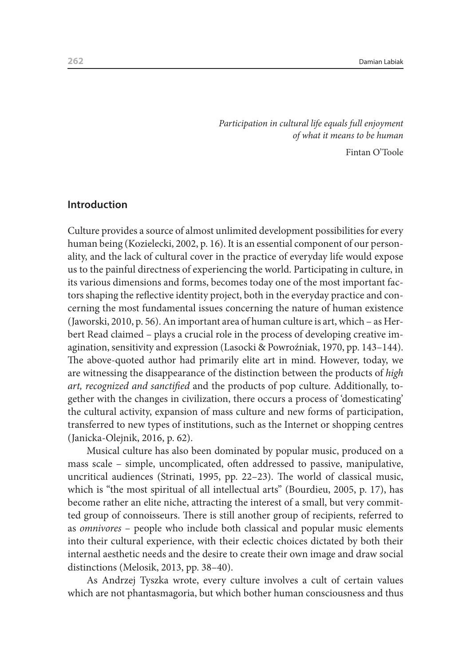*Participation in cultural life equals full enjoyment of what it means to be human*

Fintan O'Toole

#### **Introduction**

Culture provides a source of almost unlimited development possibilities for every human being (Kozielecki, 2002, p. 16). It is an essential component of our personality, and the lack of cultural cover in the practice of everyday life would expose us to the painful directness of experiencing the world. Participating in culture, in its various dimensions and forms, becomes today one of the most important factors shaping the reflective identity project, both in the everyday practice and concerning the most fundamental issues concerning the nature of human existence (Jaworski, 2010, p. 56). An important area of human culture is art, which – as Herbert Read claimed – plays a crucial role in the process of developing creative imagination, sensitivity and expression (Lasocki & Powroźniak, 1970, pp. 143–144). The above-quoted author had primarily elite art in mind. However, today, we are witnessing the disappearance of the distinction between the products of *high art, recognized and sanctified* and the products of pop culture. Additionally, together with the changes in civilization, there occurs a process of 'domesticating' the cultural activity, expansion of mass culture and new forms of participation, transferred to new types of institutions, such as the Internet or shopping centres (Janicka-Olejnik, 2016, p. 62).

Musical culture has also been dominated by popular music, produced on a mass scale – simple, uncomplicated, often addressed to passive, manipulative, uncritical audiences (Strinati, 1995, pp. 22–23). The world of classical music, which is "the most spiritual of all intellectual arts" (Bourdieu, 2005, p. 17), has become rather an elite niche, attracting the interest of a small, but very committed group of connoisseurs. There is still another group of recipients, referred to as *omnivores* – people who include both classical and popular music elements into their cultural experience, with their eclectic choices dictated by both their internal aesthetic needs and the desire to create their own image and draw social distinctions (Melosik, 2013, pp. 38–40).

As Andrzej Tyszka wrote, every culture involves a cult of certain values which are not phantasmagoria, but which bother human consciousness and thus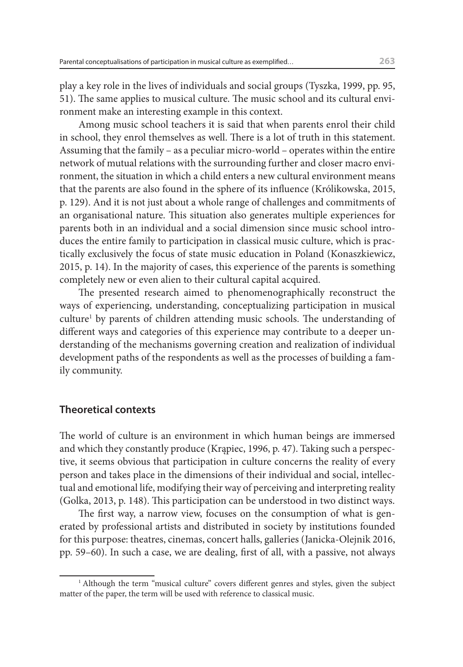play a key role in the lives of individuals and social groups (Tyszka, 1999, pp. 95, 51). The same applies to musical culture. The music school and its cultural environment make an interesting example in this context.

Among music school teachers it is said that when parents enrol their child in school, they enrol themselves as well. There is a lot of truth in this statement. Assuming that the family – as a peculiar micro-world – operates within the entire network of mutual relations with the surrounding further and closer macro environment, the situation in which a child enters a new cultural environment means that the parents are also found in the sphere of its influence (Królikowska, 2015, p. 129). And it is not just about a whole range of challenges and commitments of an organisational nature. This situation also generates multiple experiences for parents both in an individual and a social dimension since music school introduces the entire family to participation in classical music culture, which is practically exclusively the focus of state music education in Poland (Konaszkiewicz, 2015, p. 14). In the majority of cases, this experience of the parents is something completely new or even alien to their cultural capital acquired.

The presented research aimed to phenomenographically reconstruct the ways of experiencing, understanding, conceptualizing participation in musical culture1 by parents of children attending music schools. The understanding of different ways and categories of this experience may contribute to a deeper understanding of the mechanisms governing creation and realization of individual development paths of the respondents as well as the processes of building a family community.

#### **Theoretical contexts**

The world of culture is an environment in which human beings are immersed and which they constantly produce (Krąpiec, 1996, p. 47). Taking such a perspective, it seems obvious that participation in culture concerns the reality of every person and takes place in the dimensions of their individual and social, intellectual and emotional life, modifying their way of perceiving and interpreting reality (Golka, 2013, p. 148). This participation can be understood in two distinct ways.

The first way, a narrow view, focuses on the consumption of what is generated by professional artists and distributed in society by institutions founded for this purpose: theatres, cinemas, concert halls, galleries (Janicka-Olejnik 2016, pp. 59–60). In such a case, we are dealing, first of all, with a passive, not always

<sup>&</sup>lt;sup>1</sup> Although the term "musical culture" covers different genres and styles, given the subject matter of the paper, the term will be used with reference to classical music.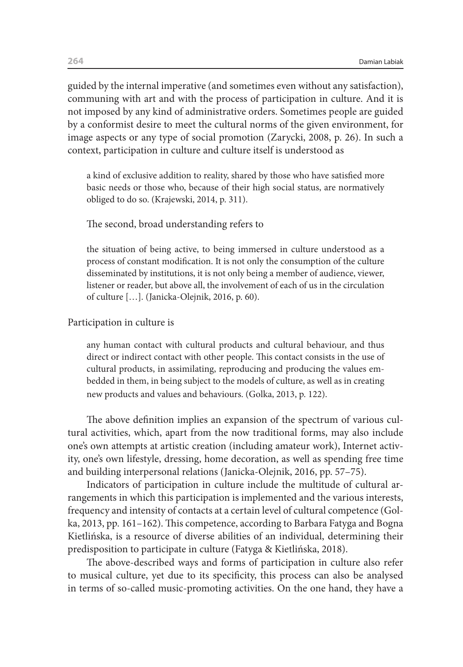guided by the internal imperative (and sometimes even without any satisfaction), communing with art and with the process of participation in culture. And it is not imposed by any kind of administrative orders. Sometimes people are guided by a conformist desire to meet the cultural norms of the given environment, for image aspects or any type of social promotion (Zarycki, 2008, p. 26). In such a context, participation in culture and culture itself is understood as

a kind of exclusive addition to reality, shared by those who have satisfied more basic needs or those who, because of their high social status, are normatively obliged to do so. (Krajewski, 2014, p. 311).

#### The second, broad understanding refers to

the situation of being active, to being immersed in culture understood as a process of constant modification. It is not only the consumption of the culture disseminated by institutions, it is not only being a member of audience, viewer, listener or reader, but above all, the involvement of each of us in the circulation of culture […]. (Janicka-Olejnik, 2016, p. 60).

#### Participation in culture is

any human contact with cultural products and cultural behaviour, and thus direct or indirect contact with other people. This contact consists in the use of cultural products, in assimilating, reproducing and producing the values embedded in them, in being subject to the models of culture, as well as in creating new products and values and behaviours. (Golka, 2013, p. 122).

The above definition implies an expansion of the spectrum of various cultural activities, which, apart from the now traditional forms, may also include one's own attempts at artistic creation (including amateur work), Internet activity, one's own lifestyle, dressing, home decoration, as well as spending free time and building interpersonal relations (Janicka-Olejnik, 2016, pp. 57–75).

Indicators of participation in culture include the multitude of cultural arrangements in which this participation is implemented and the various interests, frequency and intensity of contacts at a certain level of cultural competence (Golka, 2013, pp. 161–162). This competence, according to Barbara Fatyga and Bogna Kietlińska, is a resource of diverse abilities of an individual, determining their predisposition to participate in culture (Fatyga & Kietlińska, 2018).

The above-described ways and forms of participation in culture also refer to musical culture, yet due to its specificity, this process can also be analysed in terms of so-called music-promoting activities. On the one hand, they have a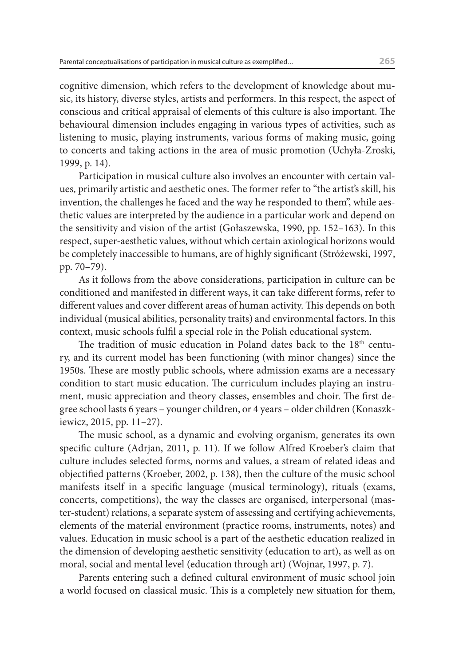cognitive dimension, which refers to the development of knowledge about music, its history, diverse styles, artists and performers. In this respect, the aspect of conscious and critical appraisal of elements of this culture is also important. The behavioural dimension includes engaging in various types of activities, such as listening to music, playing instruments, various forms of making music, going to concerts and taking actions in the area of music promotion (Uchyła-Zroski, 1999, p. 14).

Participation in musical culture also involves an encounter with certain values, primarily artistic and aesthetic ones. The former refer to "the artist's skill, his invention, the challenges he faced and the way he responded to them", while aesthetic values are interpreted by the audience in a particular work and depend on the sensitivity and vision of the artist (Gołaszewska, 1990, pp. 152–163). In this respect, super-aesthetic values, without which certain axiological horizons would be completely inaccessible to humans, are of highly significant (Stróżewski, 1997, pp. 70–79).

As it follows from the above considerations, participation in culture can be conditioned and manifested in different ways, it can take different forms, refer to different values and cover different areas of human activity. This depends on both individual (musical abilities, personality traits) and environmental factors. In this context, music schools fulfil a special role in the Polish educational system.

The tradition of music education in Poland dates back to the 18<sup>th</sup> century, and its current model has been functioning (with minor changes) since the 1950s. These are mostly public schools, where admission exams are a necessary condition to start music education. The curriculum includes playing an instrument, music appreciation and theory classes, ensembles and choir. The first degree school lasts 6 years – younger children, or 4 years – older children (Konaszkiewicz, 2015, pp. 11–27).

The music school, as a dynamic and evolving organism, generates its own specific culture (Adrjan, 2011, p. 11). If we follow Alfred Kroeber's claim that culture includes selected forms, norms and values, a stream of related ideas and objectified patterns (Kroeber, 2002, p. 138), then the culture of the music school manifests itself in a specific language (musical terminology), rituals (exams, concerts, competitions), the way the classes are organised, interpersonal (master-student) relations, a separate system of assessing and certifying achievements, elements of the material environment (practice rooms, instruments, notes) and values. Education in music school is a part of the aesthetic education realized in the dimension of developing aesthetic sensitivity (education to art), as well as on moral, social and mental level (education through art) (Wojnar, 1997, p. 7).

Parents entering such a defined cultural environment of music school join a world focused on classical music. This is a completely new situation for them,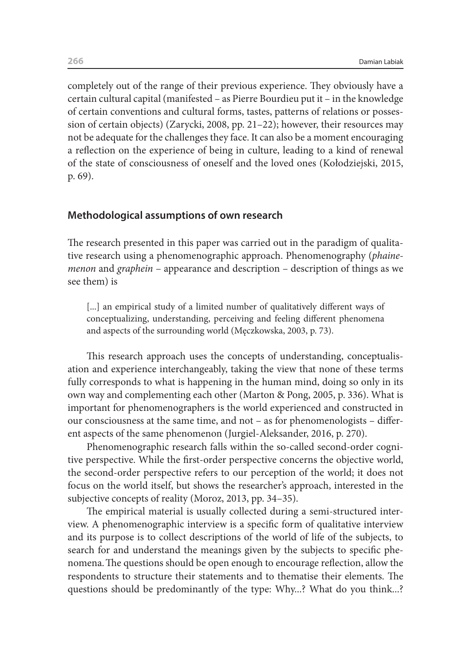completely out of the range of their previous experience. They obviously have a certain cultural capital (manifested – as Pierre Bourdieu put it – in the knowledge of certain conventions and cultural forms, tastes, patterns of relations or possession of certain objects) (Zarycki, 2008, pp. 21–22); however, their resources may not be adequate for the challenges they face. It can also be a moment encouraging a reflection on the experience of being in culture, leading to a kind of renewal of the state of consciousness of oneself and the loved ones (Kołodziejski, 2015, p. 69).

#### **Methodological assumptions of own research**

The research presented in this paper was carried out in the paradigm of qualitative research using a phenomenographic approach. Phenomenography (*phainemenon* and *graphein* – appearance and description – description of things as we see them) is

[...] an empirical study of a limited number of qualitatively different ways of conceptualizing, understanding, perceiving and feeling different phenomena and aspects of the surrounding world (Męczkowska, 2003, p. 73).

This research approach uses the concepts of understanding, conceptualisation and experience interchangeably, taking the view that none of these terms fully corresponds to what is happening in the human mind, doing so only in its own way and complementing each other (Marton & Pong, 2005, p. 336). What is important for phenomenographers is the world experienced and constructed in our consciousness at the same time, and not – as for phenomenologists – different aspects of the same phenomenon (Jurgiel-Aleksander, 2016, p. 270).

Phenomenographic research falls within the so-called second-order cognitive perspective. While the first-order perspective concerns the objective world, the second-order perspective refers to our perception of the world; it does not focus on the world itself, but shows the researcher's approach, interested in the subjective concepts of reality (Moroz, 2013, pp. 34–35).

The empirical material is usually collected during a semi-structured interview. A phenomenographic interview is a specific form of qualitative interview and its purpose is to collect descriptions of the world of life of the subjects, to search for and understand the meanings given by the subjects to specific phenomena.The questions should be open enough to encourage reflection, allow the respondents to structure their statements and to thematise their elements. The questions should be predominantly of the type: Why...? What do you think...?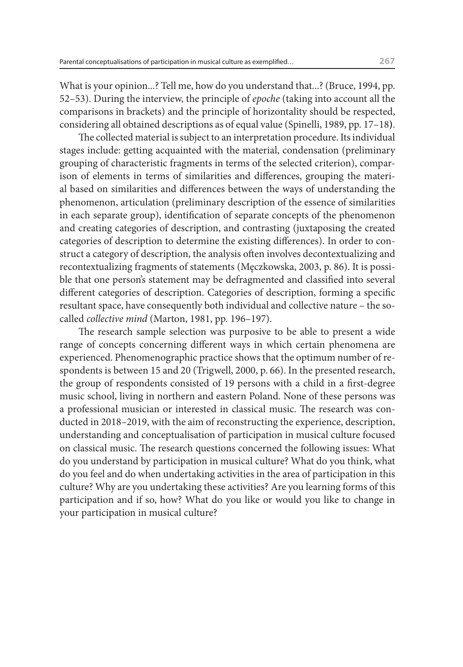What is your opinion...? Tell me, how do you understand that...? (Bruce, 1994, pp. 52–53). During the interview, the principle of *epoche* (taking into account all the comparisons in brackets) and the principle of horizontality should be respected, considering all obtained descriptions as of equal value (Spinelli, 1989, pp. 17–18**)**.

The collected material is subject to an interpretation procedure. Its individual stages include: getting acquainted with the material, condensation (preliminary grouping of characteristic fragments in terms of the selected criterion), comparison of elements in terms of similarities and differences, grouping the material based on similarities and differences between the ways of understanding the phenomenon, articulation (preliminary description of the essence of similarities in each separate group), identification of separate concepts of the phenomenon and creating categories of description, and contrasting (juxtaposing the created categories of description to determine the existing differences). In order to construct a category of description, the analysis often involves decontextualizing and recontextualizing fragments of statements (Męczkowska, 2003, p. 86). It is possible that one person's statement may be defragmented and classified into several different categories of description. Categories of description, forming a specific resultant space, have consequently both individual and collective nature – the socalled *collective mind* (Marton, 1981, pp. 196–197).

The research sample selection was purposive to be able to present a wide range of concepts concerning different ways in which certain phenomena are experienced. Phenomenographic practice shows that the optimum number of respondents is between 15 and 20 (Trigwell, 2000, p. 66). In the presented research, the group of respondents consisted of 19 persons with a child in a first-degree music school, living in northern and eastern Poland. None of these persons was a professional musician or interested in classical music. The research was conducted in 2018–2019, with the aim of reconstructing the experience, description, understanding and conceptualisation of participation in musical culture focused on classical music. The research questions concerned the following issues: What do you understand by participation in musical culture? What do you think, what do you feel and do when undertaking activities in the area of participation in this culture? Why are you undertaking these activities? Are you learning forms of this participation and if so, how? What do you like or would you like to change in your participation in musical culture?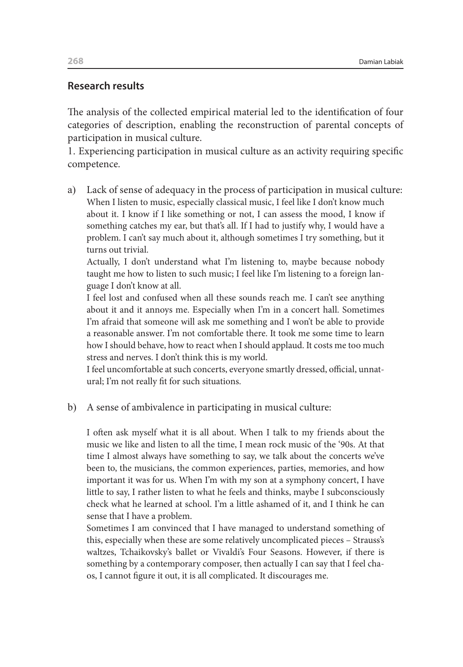#### **Research results**

The analysis of the collected empirical material led to the identification of four categories of description, enabling the reconstruction of parental concepts of participation in musical culture.

1. Experiencing participation in musical culture as an activity requiring specific competence.

a) Lack of sense of adequacy in the process of participation in musical culture: When I listen to music, especially classical music, I feel like I don't know much about it. I know if I like something or not, I can assess the mood, I know if something catches my ear, but that's all. If I had to justify why, I would have a problem. I can't say much about it, although sometimes I try something, but it turns out trivial.

Actually, I don't understand what I'm listening to, maybe because nobody taught me how to listen to such music; I feel like I'm listening to a foreign language I don't know at all.

I feel lost and confused when all these sounds reach me. I can't see anything about it and it annoys me. Especially when I'm in a concert hall. Sometimes I'm afraid that someone will ask me something and I won't be able to provide a reasonable answer. I'm not comfortable there. It took me some time to learn how I should behave, how to react when I should applaud. It costs me too much stress and nerves. I don't think this is my world.

I feel uncomfortable at such concerts, everyone smartly dressed, official, unnatural; I'm not really fit for such situations.

b) A sense of ambivalence in participating in musical culture:

I often ask myself what it is all about. When I talk to my friends about the music we like and listen to all the time, I mean rock music of the '90s. At that time I almost always have something to say, we talk about the concerts we've been to, the musicians, the common experiences, parties, memories, and how important it was for us. When I'm with my son at a symphony concert, I have little to say, I rather listen to what he feels and thinks, maybe I subconsciously check what he learned at school. I'm a little ashamed of it, and I think he can sense that I have a problem.

Sometimes I am convinced that I have managed to understand something of this, especially when these are some relatively uncomplicated pieces – Strauss's waltzes, Tchaikovsky's ballet or Vivaldi's Four Seasons. However, if there is something by a contemporary composer, then actually I can say that I feel chaos, I cannot figure it out, it is all complicated. It discourages me.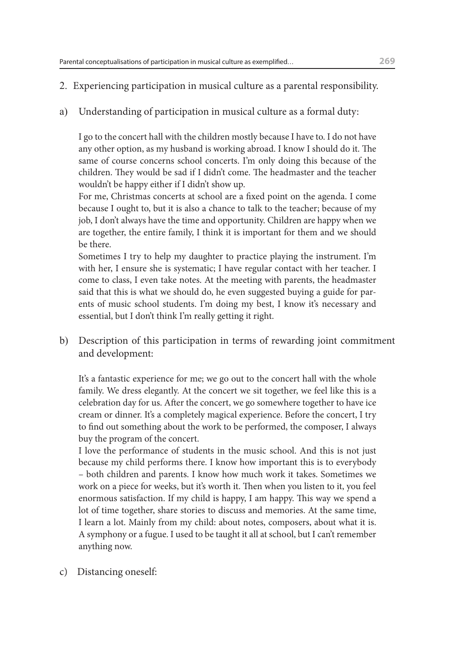- 2. Experiencing participation in musical culture as a parental responsibility.
- a) Understanding of participation in musical culture as a formal duty:

I go to the concert hall with the children mostly because I have to. I do not have any other option, as my husband is working abroad. I know I should do it. The same of course concerns school concerts. I'm only doing this because of the children. They would be sad if I didn't come. The headmaster and the teacher wouldn't be happy either if I didn't show up.

For me, Christmas concerts at school are a fixed point on the agenda. I come because I ought to, but it is also a chance to talk to the teacher; because of my job, I don't always have the time and opportunity. Children are happy when we are together, the entire family, I think it is important for them and we should be there.

Sometimes I try to help my daughter to practice playing the instrument. I'm with her, I ensure she is systematic; I have regular contact with her teacher. I come to class, I even take notes. At the meeting with parents, the headmaster said that this is what we should do, he even suggested buying a guide for parents of music school students. I'm doing my best, I know it's necessary and essential, but I don't think I'm really getting it right.

b) Description of this participation in terms of rewarding joint commitment and development:

It's a fantastic experience for me; we go out to the concert hall with the whole family. We dress elegantly. At the concert we sit together, we feel like this is a celebration day for us. After the concert, we go somewhere together to have ice cream or dinner. It's a completely magical experience. Before the concert, I try to find out something about the work to be performed, the composer, I always buy the program of the concert.

I love the performance of students in the music school. And this is not just because my child performs there. I know how important this is to everybody – both children and parents. I know how much work it takes. Sometimes we work on a piece for weeks, but it's worth it. Then when you listen to it, you feel enormous satisfaction. If my child is happy, I am happy. This way we spend a lot of time together, share stories to discuss and memories. At the same time, I learn a lot. Mainly from my child: about notes, composers, about what it is. A symphony or a fugue. I used to be taught it all at school, but I can't remember anything now.

c) Distancing oneself: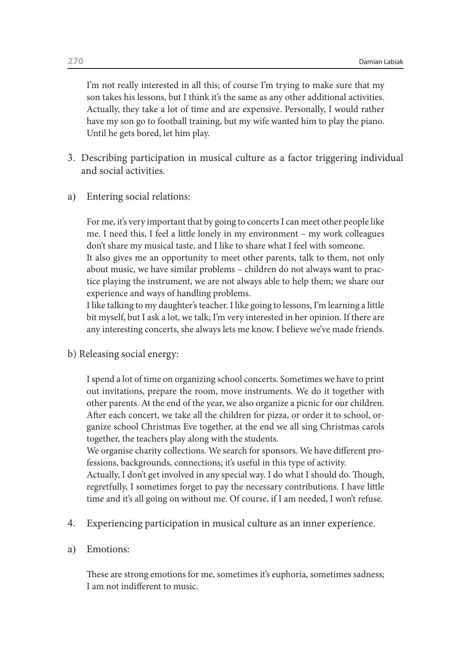I'm not really interested in all this; of course I'm trying to make sure that my son takes his lessons, but I think it's the same as any other additional activities. Actually, they take a lot of time and are expensive. Personally, I would rather have my son go to football training, but my wife wanted him to play the piano. Until he gets bored, let him play.

- 3. Describing participation in musical culture as a factor triggering individual and social activities.
- a) Entering social relations:

For me, it's very important that by going to concerts I can meet other people like me. I need this, I feel a little lonely in my environment – my work colleagues don't share my musical taste, and I like to share what I feel with someone.

It also gives me an opportunity to meet other parents, talk to them, not only about music, we have similar problems – children do not always want to practice playing the instrument, we are not always able to help them; we share our experience and ways of handling problems.

I like talking to my daughter's teacher. I like going to lessons, I'm learning a little bit myself, but I ask a lot, we talk; I'm very interested in her opinion. If there are any interesting concerts, she always lets me know. I believe we've made friends.

b) Releasing social energy:

I spend a lot of time on organizing school concerts. Sometimes we have to print out invitations, prepare the room, move instruments. We do it together with other parents. At the end of the year, we also organize a picnic for our children. After each concert, we take all the children for pizza, or order it to school, organize school Christmas Eve together, at the end we all sing Christmas carols together, the teachers play along with the students.

We organise charity collections. We search for sponsors. We have different professions, backgrounds, connections; it's useful in this type of activity.

Actually, I don't get involved in any special way. I do what I should do. Though, regretfully, I sometimes forget to pay the necessary contributions. I have little time and it's all going on without me. Of course, if I am needed, I won't refuse.

- 4. Experiencing participation in musical culture as an inner experience.
- a) Emotions:

These are strong emotions for me, sometimes it's euphoria, sometimes sadness; I am not indifferent to music.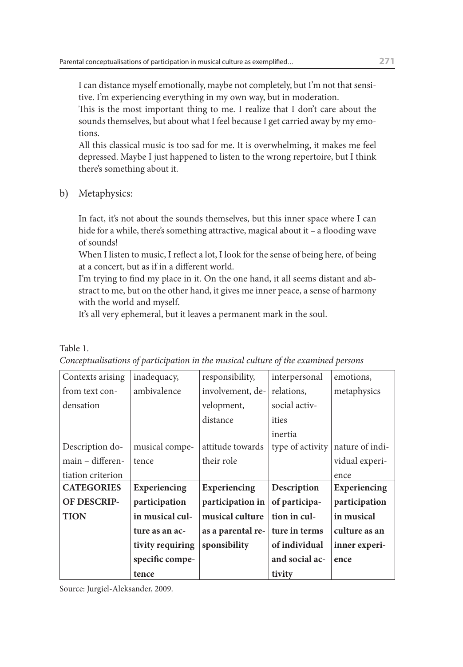I can distance myself emotionally, maybe not completely, but I'm not that sensitive. I'm experiencing everything in my own way, but in moderation.

This is the most important thing to me. I realize that I don't care about the sounds themselves, but about what I feel because I get carried away by my emotions.

All this classical music is too sad for me. It is overwhelming, it makes me feel depressed. Maybe I just happened to listen to the wrong repertoire, but I think there's something about it.

b) Metaphysics:

In fact, it's not about the sounds themselves, but this inner space where I can hide for a while, there's something attractive, magical about it – a flooding wave of sounds!

When I listen to music, I reflect a lot, I look for the sense of being here, of being at a concert, but as if in a different world.

I'm trying to find my place in it. On the one hand, it all seems distant and abstract to me, but on the other hand, it gives me inner peace, a sense of harmony with the world and myself.

It's all very ephemeral, but it leaves a permanent mark in the soul.

Table 1.

| Contexts arising  | inadequacy,         | responsibility,   | interpersonal    | emotions,       |
|-------------------|---------------------|-------------------|------------------|-----------------|
| from text con-    | ambivalence         | involvement, de-  | relations,       | metaphysics     |
| densation         |                     | velopment,        | social activ-    |                 |
|                   |                     | distance          | ities            |                 |
|                   |                     |                   | inertia          |                 |
| Description do-   | musical compe-      | attitude towards  | type of activity | nature of indi- |
| main - differen-  | tence               | their role        |                  | vidual experi-  |
| tiation criterion |                     |                   |                  | ence            |
| <b>CATEGORIES</b> | <b>Experiencing</b> | Experiencing      | Description      | Experiencing    |
| OF DESCRIP-       | participation       | participation in  | of participa-    | participation   |
| <b>TION</b>       | in musical cul-     | musical culture   | tion in cul-     | in musical      |
|                   | ture as an ac-      | as a parental re- | ture in terms    | culture as an   |
|                   | tivity requiring    | sponsibility      | of individual    | inner experi-   |
|                   | specific compe-     |                   | and social ac-   | ence            |
|                   | tence               |                   | tivity           |                 |

*Conceptualisations of participation in the musical culture of the examined persons*

Source: Jurgiel-Aleksander, 2009.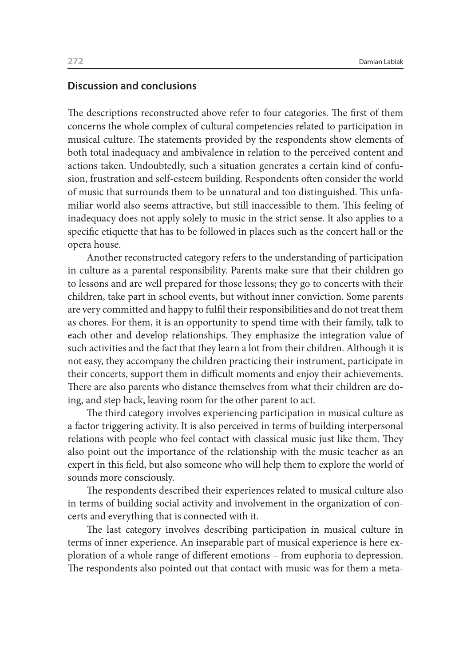#### **Discussion and conclusions**

The descriptions reconstructed above refer to four categories. The first of them concerns the whole complex of cultural competencies related to participation in musical culture. The statements provided by the respondents show elements of both total inadequacy and ambivalence in relation to the perceived content and actions taken. Undoubtedly, such a situation generates a certain kind of confusion, frustration and self-esteem building. Respondents often consider the world of music that surrounds them to be unnatural and too distinguished. This unfamiliar world also seems attractive, but still inaccessible to them. This feeling of inadequacy does not apply solely to music in the strict sense. It also applies to a specific etiquette that has to be followed in places such as the concert hall or the opera house.

Another reconstructed category refers to the understanding of participation in culture as a parental responsibility. Parents make sure that their children go to lessons and are well prepared for those lessons; they go to concerts with their children, take part in school events, but without inner conviction. Some parents are very committed and happy to fulfil their responsibilities and do not treat them as chores. For them, it is an opportunity to spend time with their family, talk to each other and develop relationships. They emphasize the integration value of such activities and the fact that they learn a lot from their children. Although it is not easy, they accompany the children practicing their instrument, participate in their concerts, support them in difficult moments and enjoy their achievements. There are also parents who distance themselves from what their children are doing, and step back, leaving room for the other parent to act.

The third category involves experiencing participation in musical culture as a factor triggering activity. It is also perceived in terms of building interpersonal relations with people who feel contact with classical music just like them. They also point out the importance of the relationship with the music teacher as an expert in this field, but also someone who will help them to explore the world of sounds more consciously.

The respondents described their experiences related to musical culture also in terms of building social activity and involvement in the organization of concerts and everything that is connected with it.

The last category involves describing participation in musical culture in terms of inner experience. An inseparable part of musical experience is here exploration of a whole range of different emotions – from euphoria to depression. The respondents also pointed out that contact with music was for them a meta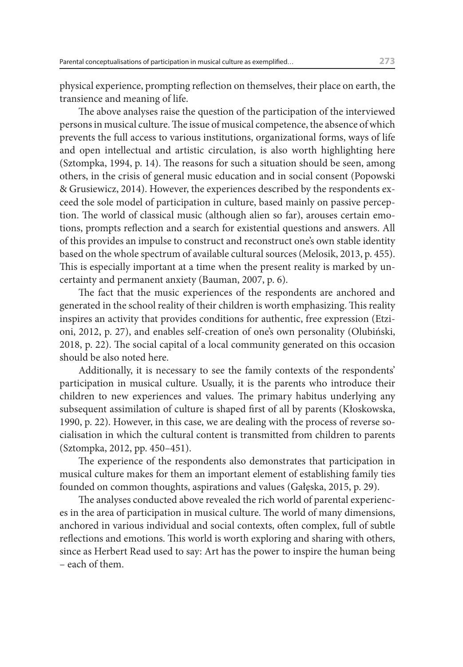physical experience, prompting reflection on themselves, their place on earth, the transience and meaning of life.

The above analyses raise the question of the participation of the interviewed persons in musical culture. The issue of musical competence, the absence of which prevents the full access to various institutions, organizational forms, ways of life and open intellectual and artistic circulation, is also worth highlighting here (Sztompka, 1994, p. 14). The reasons for such a situation should be seen, among others, in the crisis of general music education and in social consent (Popowski & Grusiewicz, 2014). However, the experiences described by the respondents exceed the sole model of participation in culture, based mainly on passive perception. The world of classical music (although alien so far), arouses certain emotions, prompts reflection and a search for existential questions and answers. All of this provides an impulse to construct and reconstruct one's own stable identity based on the whole spectrum of available cultural sources (Melosik, 2013, p. 455). This is especially important at a time when the present reality is marked by uncertainty and permanent anxiety (Bauman, 2007, p. 6).

The fact that the music experiences of the respondents are anchored and generated in the school reality of their children is worth emphasizing. This reality inspires an activity that provides conditions for authentic, free expression (Etzioni, 2012, p. 27), and enables self-creation of one's own personality (Olubiński, 2018, p. 22). The social capital of a local community generated on this occasion should be also noted here.

Additionally, it is necessary to see the family contexts of the respondents' participation in musical culture. Usually, it is the parents who introduce their children to new experiences and values. The primary habitus underlying any subsequent assimilation of culture is shaped first of all by parents (Kłoskowska, 1990, p. 22). However, in this case, we are dealing with the process of reverse socialisation in which the cultural content is transmitted from children to parents (Sztompka, 2012, pp. 450–451).

The experience of the respondents also demonstrates that participation in musical culture makes for them an important element of establishing family ties founded on common thoughts, aspirations and values (Gałęska, 2015, p. 29).

The analyses conducted above revealed the rich world of parental experiences in the area of participation in musical culture. The world of many dimensions, anchored in various individual and social contexts, often complex, full of subtle reflections and emotions. This world is worth exploring and sharing with others, since as Herbert Read used to say: Art has the power to inspire the human being – each of them.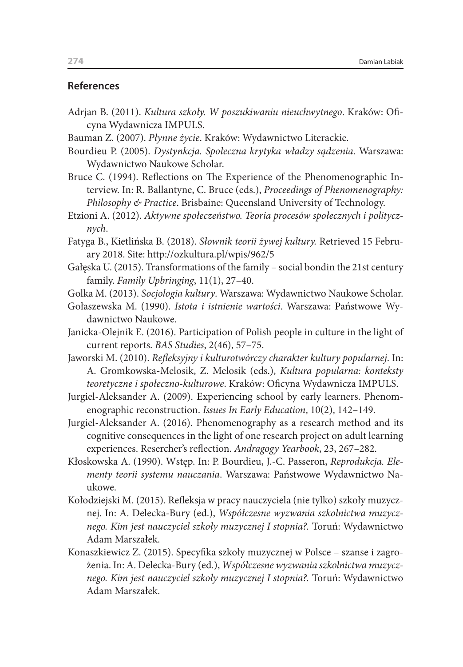#### **References**

- Adrjan B. (2011). *Kultura szkoły. W poszukiwaniu nieuchwytnego*. Kraków: Oficyna Wydawnicza IMPULS.
- Bauman Z. (2007). *Płynne życie*. Kraków: Wydawnictwo Literackie.
- Bourdieu P. (2005). *Dystynkcja. Społeczna krytyka władzy sądzenia*. Warszawa: Wydawnictwo Naukowe Scholar.
- Bruce C. (1994). Reflections on The Experience of the Phenomenographic Interview. In: R. Ballantyne, C. Bruce (eds.), *Proceedings of Phenomenography: Philosophy & Practice*. Brisbaine: Queensland University of Technology.
- Etzioni A. (2012). *Aktywne społeczeństwo. Teoria procesów społecznych i politycznych*.
- Fatyga B., Kietlińska B. (2018). *Słownik teorii żywej kultury.* Retrieved 15 February 2018. Site: http://ozkultura.pl/wpis/962/5
- Gałęska U. (2015). Transformations of the family social bondin the 21st century family. *Family Upbringing*, 11(1), 27–40.
- Golka M. (2013). *Socjologia kultury*. Warszawa: Wydawnictwo Naukowe Scholar.
- Gołaszewska M. (1990). *Istota i istnienie wartości*. Warszawa: Państwowe Wydawnictwo Naukowe.
- Janicka-Olejnik E. (2016). Participation of Polish people in culture in the light of current reports. *BAS Studies*, 2(46), 57–75.
- Jaworski M. (2010). *Refleksyjny i kulturotwórczy charakter kultury popularnej*. In: A. Gromkowska-Melosik, Z. Melosik (eds.), *Kultura popularna: konteksty teoretyczne i społeczno-kulturowe*. Kraków: Oficyna Wydawnicza IMPULS.
- Jurgiel-Aleksander A. (2009). Experiencing school by early learners. Phenomenographic reconstruction. *Issues In Early Education*, 10(2), 142–149.
- Jurgiel-Aleksander A. (2016). Phenomenography as a research method and its cognitive consequences in the light of one research project on adult learning experiences. Resercher's reflection. *Andragogy Yearbook*, 23, 267–282.
- Kłoskowska A. (1990). Wstęp. In: P. Bourdieu, J.-C. Passeron, *Reprodukcja. Elementy teorii systemu nauczania*. Warszawa: Państwowe Wydawnictwo Naukowe.
- Kołodziejski M. (2015). Refleksja w pracy nauczyciela (nie tylko) szkoły muzycznej. In: A. Delecka-Bury (ed.), *Współczesne wyzwania szkolnictwa muzycznego. Kim jest nauczyciel szkoły muzycznej I stopnia?.* Toruń: Wydawnictwo Adam Marszałek.
- Konaszkiewicz Z. (2015). Specyfika szkoły muzycznej w Polsce szanse i zagrożenia. In: A. Delecka-Bury (ed.), *Współczesne wyzwania szkolnictwa muzycznego. Kim jest nauczyciel szkoły muzycznej I stopnia?.* Toruń: Wydawnictwo Adam Marszałek.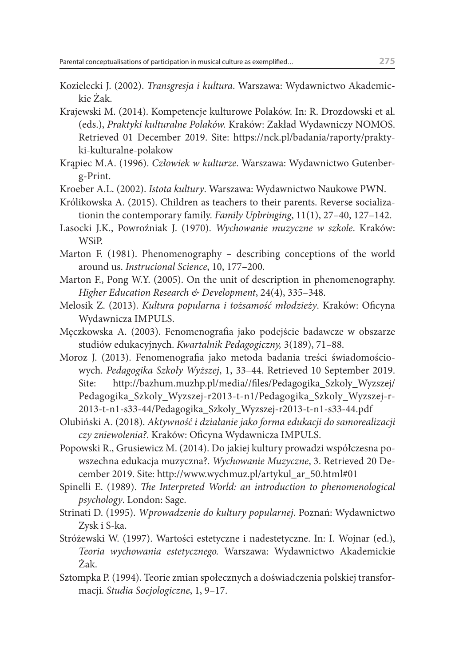- Kozielecki J. (2002). *Transgresja i kultura*. Warszawa: Wydawnictwo Akademickie Żak.
- Krajewski M. (2014). Kompetencje kulturowe Polaków. In: R. Drozdowski et al. (eds.), *Praktyki kulturalne Polaków.* Kraków: Zakład Wydawniczy NOMOS. Retrieved 01 December 2019. Site: https://nck.pl/badania/raporty/praktyki-kulturalne-polakow
- Krąpiec M.A. (1996). *Człowiek w kulturze*. Warszawa: Wydawnictwo Gutenberg-Print.
- Kroeber A.L. (2002). *Istota kultury*. Warszawa: Wydawnictwo Naukowe PWN.
- Królikowska A. (2015). Children as teachers to their parents. Reverse socializationin the contemporary family. *Family Upbringing*, 11(1), 27–40, 127–142.
- Lasocki J.K., Powroźniak J. (1970). *Wychowanie muzyczne w szkole*. Kraków: WSiP.
- Marton F. (1981). Phenomenography describing conceptions of the world around us. *Instrucional Science*, 10, 177–200.
- Marton F., Pong W.Y. (2005). On the unit of description in phenomenography. *Higher Education Research & Development*, 24(4), 335–348.
- Melosik Z. (2013). *Kultura popularna i tożsamość młodzieży*. Kraków: Oficyna Wydawnicza IMPULS.
- Męczkowska A. (2003). Fenomenografia jako podejście badawcze w obszarze studiów edukacyjnych. *Kwartalnik Pedagogiczny,* 3(189), 71–88.
- Moroz J. (2013). Fenomenografia jako metoda badania treści świadomościowych. *Pedagogika Szkoły Wyższej*, 1, 33–44. Retrieved 10 September 2019. Site: http://bazhum.muzhp.pl/media//files/Pedagogika\_Szkoly\_Wyzszej/ Pedagogika\_Szkoly\_Wyzszej-r2013-t-n1/Pedagogika\_Szkoly\_Wyzszej-r-2013-t-n1-s33-44/Pedagogika\_Szkoly\_Wyzszej-r2013-t-n1-s33-44.pdf
- Olubiński A. (2018). *Aktywność i działanie jako forma edukacji do samorealizacji czy zniewolenia?*. Kraków: Oficyna Wydawnicza IMPULS.
- Popowski R., Grusiewicz M. (2014). Do jakiej kultury prowadzi współczesna powszechna edukacja muzyczna?. *Wychowanie Muzyczne*, 3. Retrieved 20 December 2019. Site: http://www.wychmuz.pl/artykul\_ar\_50.html#01
- Spinelli E. (1989). *The Interpreted World: an introduction to phenomenological psychology*. London: Sage.
- Strinati D. (1995). *Wprowadzenie do kultury popularnej*. Poznań: Wydawnictwo Zysk i S-ka.
- Stróżewski W. (1997). Wartości estetyczne i nadestetyczne. In: I. Wojnar (ed.), *Teoria wychowania estetycznego.* Warszawa: Wydawnictwo Akademickie Żak.
- Sztompka P. (1994). Teorie zmian społecznych a doświadczenia polskiej transformacji. *Studia Socjologiczne*, 1, 9–17.